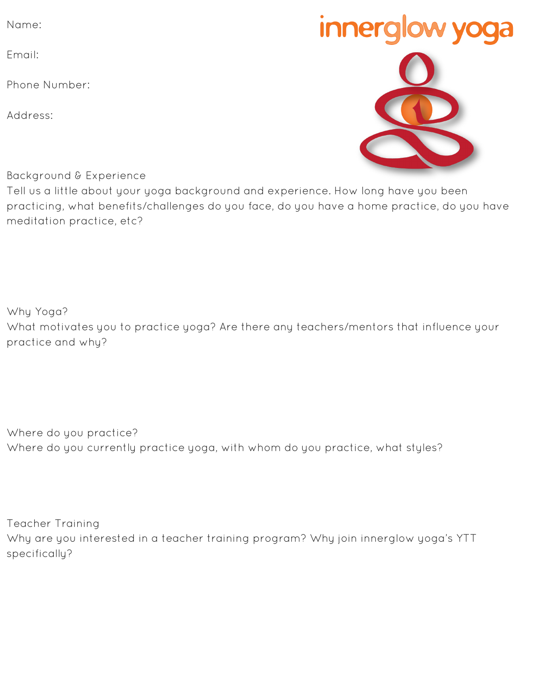Name:

Email:

Phone Number:

Address:

Background & Experience

Tell us a little about your yoga background and experience. How long have you been practicing, what benefits/challenges do you face, do you have a home practice, do you have meditation practice, etc?

Why Yoga? What motivates you to practice yoga? Are there any teachers/mentors that influence your practice and why?

Where do you practice? Where do you currently practice yoga, with whom do you practice, what styles?

Teacher Training Why are you interested in a teacher training program? Why join innerglow yoga's YTT specifically?